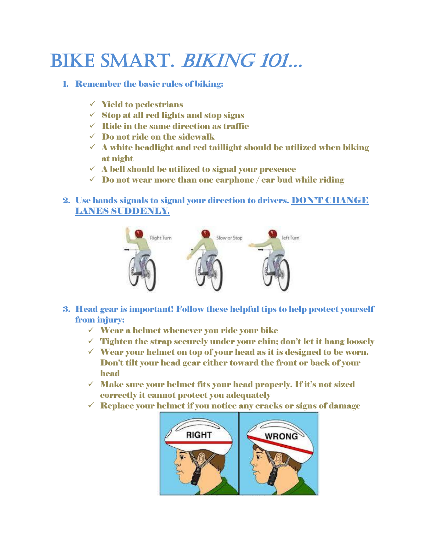## BIKE SMART. BIKING 101...

## 1. Remember the basic rules of biking:

- $\checkmark$  Yield to pedestrians
- $\checkmark$  Stop at all red lights and stop signs
- $\checkmark$  Ride in the same direction as traffic
- $\checkmark$  Do not ride on the sidewalk
- $\checkmark$  A white headlight and red taillight should be utilized when biking at night
- $\checkmark$  A bell should be utilized to signal your presence
- $\checkmark$  Do not wear more than one earphone / ear bud while riding
- 2. Use hands signals to signal your direction to drivers. DON'T CHANGE LANES SUDDENLY.



- 3. Head gear is important! Follow these helpful tips to help protect yourself from injury:
	- $\checkmark$  Wear a helmet whenever you ride your bike
	- $\checkmark$  Tighten the strap securely under your chin; don't let it hang loosely
	- $\checkmark$  Wear your helmet on top of your head as it is designed to be worn. Don't tilt your head gear either toward the front or back of your head
	- $\checkmark$  Make sure your helmet fits your head properly. If it's not sized correctly it cannot protect you adequately
	- $\checkmark$  Replace your helmet if you notice any cracks or signs of damage